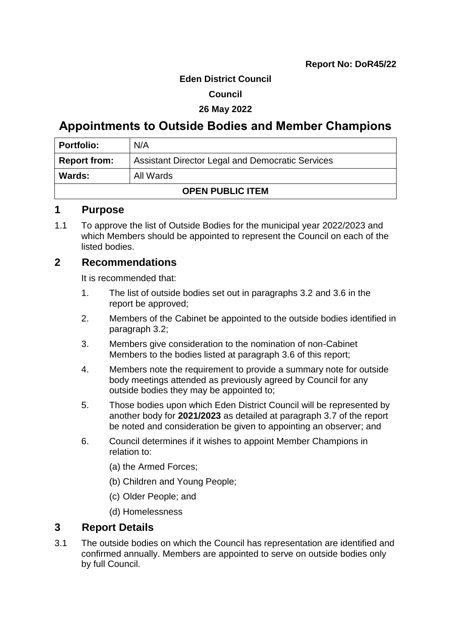#### **Eden District Council**

#### **Council**

#### **26 May 2022**

# **Appointments to Outside Bodies and Member Champions**

| <b>Portfolio:</b>       | N/A                                                     |
|-------------------------|---------------------------------------------------------|
| <b>Report from:</b>     | <b>Assistant Director Legal and Democratic Services</b> |
| Wards:<br>All Wards     |                                                         |
| <b>OPEN PUBLIC ITEM</b> |                                                         |

### **1 Purpose**

1.1 To approve the list of Outside Bodies for the municipal year 2022/2023 and which Members should be appointed to represent the Council on each of the listed bodies.

## **2 Recommendations**

It is recommended that:

- 1. The list of outside bodies set out in paragraphs 3.2 and 3.6 in the report be approved;
- 2. Members of the Cabinet be appointed to the outside bodies identified in paragraph 3.2;
- 3. Members give consideration to the nomination of non-Cabinet Members to the bodies listed at paragraph 3.6 of this report;
- 4. Members note the requirement to provide a summary note for outside body meetings attended as previously agreed by Council for any outside bodies they may be appointed to;
- 5. Those bodies upon which Eden District Council will be represented by another body for **2021/2023** as detailed at paragraph 3.7 of the report be noted and consideration be given to appointing an observer; and
- 6. Council determines if it wishes to appoint Member Champions in relation to:
	- (a) the Armed Forces;
	- (b) Children and Young People;
	- (c) Older People; and
	- (d) Homelessness

### **3 Report Details**

3.1 The outside bodies on which the Council has representation are identified and confirmed annually. Members are appointed to serve on outside bodies only by full Council.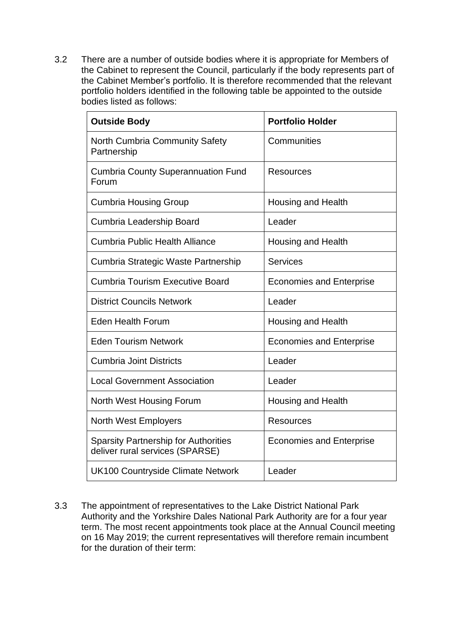3.2 There are a number of outside bodies where it is appropriate for Members of the Cabinet to represent the Council, particularly if the body represents part of the Cabinet Member's portfolio. It is therefore recommended that the relevant portfolio holders identified in the following table be appointed to the outside bodies listed as follows:

| <b>Outside Body</b>                                                            | <b>Portfolio Holder</b>         |
|--------------------------------------------------------------------------------|---------------------------------|
| <b>North Cumbria Community Safety</b><br>Partnership                           | Communities                     |
| <b>Cumbria County Superannuation Fund</b><br>Forum                             | <b>Resources</b>                |
| <b>Cumbria Housing Group</b>                                                   | <b>Housing and Health</b>       |
| Cumbria Leadership Board                                                       | Leader                          |
| Cumbria Public Health Alliance                                                 | <b>Housing and Health</b>       |
| Cumbria Strategic Waste Partnership                                            | <b>Services</b>                 |
| <b>Cumbria Tourism Executive Board</b>                                         | <b>Economies and Enterprise</b> |
| <b>District Councils Network</b>                                               | Leader                          |
| <b>Eden Health Forum</b>                                                       | Housing and Health              |
| <b>Eden Tourism Network</b>                                                    | <b>Economies and Enterprise</b> |
| <b>Cumbria Joint Districts</b>                                                 | Leader                          |
| <b>Local Government Association</b>                                            | Leader                          |
| North West Housing Forum                                                       | <b>Housing and Health</b>       |
| <b>North West Employers</b>                                                    | <b>Resources</b>                |
| <b>Sparsity Partnership for Authorities</b><br>deliver rural services (SPARSE) | <b>Economies and Enterprise</b> |
| <b>UK100 Countryside Climate Network</b>                                       | Leader                          |

3.3 The appointment of representatives to the Lake District National Park Authority and the Yorkshire Dales National Park Authority are for a four year term. The most recent appointments took place at the Annual Council meeting on 16 May 2019; the current representatives will therefore remain incumbent for the duration of their term: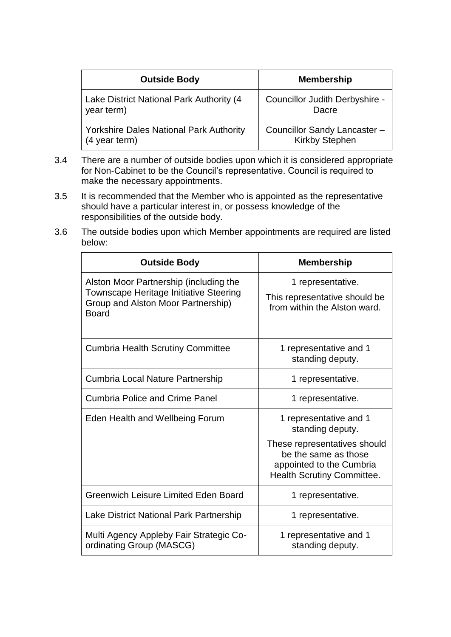| <b>Outside Body</b>                            | <b>Membership</b>              |
|------------------------------------------------|--------------------------------|
| Lake District National Park Authority (4       | Councillor Judith Derbyshire - |
| year term)                                     | Dacre                          |
| <b>Yorkshire Dales National Park Authority</b> | Councillor Sandy Lancaster -   |
| (4 year term)                                  | <b>Kirkby Stephen</b>          |

- 3.4 There are a number of outside bodies upon which it is considered appropriate for Non-Cabinet to be the Council's representative. Council is required to make the necessary appointments.
- 3.5 It is recommended that the Member who is appointed as the representative should have a particular interest in, or possess knowledge of the responsibilities of the outside body.
- 3.6 The outside bodies upon which Member appointments are required are listed below:

| <b>Outside Body</b>                                                                                                                    | <b>Membership</b>                                                                                                     |
|----------------------------------------------------------------------------------------------------------------------------------------|-----------------------------------------------------------------------------------------------------------------------|
| Alston Moor Partnership (including the<br>Townscape Heritage Initiative Steering<br>Group and Alston Moor Partnership)<br><b>Board</b> | 1 representative.<br>This representative should be<br>from within the Alston ward.                                    |
| <b>Cumbria Health Scrutiny Committee</b>                                                                                               | 1 representative and 1<br>standing deputy.                                                                            |
| Cumbria Local Nature Partnership                                                                                                       | 1 representative.                                                                                                     |
| <b>Cumbria Police and Crime Panel</b>                                                                                                  | 1 representative.                                                                                                     |
| Eden Health and Wellbeing Forum                                                                                                        | 1 representative and 1<br>standing deputy.                                                                            |
|                                                                                                                                        | These representatives should<br>be the same as those<br>appointed to the Cumbria<br><b>Health Scrutiny Committee.</b> |
| Greenwich Leisure Limited Eden Board                                                                                                   | 1 representative.                                                                                                     |
| Lake District National Park Partnership                                                                                                | 1 representative.                                                                                                     |
| Multi Agency Appleby Fair Strategic Co-<br>ordinating Group (MASCG)                                                                    | 1 representative and 1<br>standing deputy.                                                                            |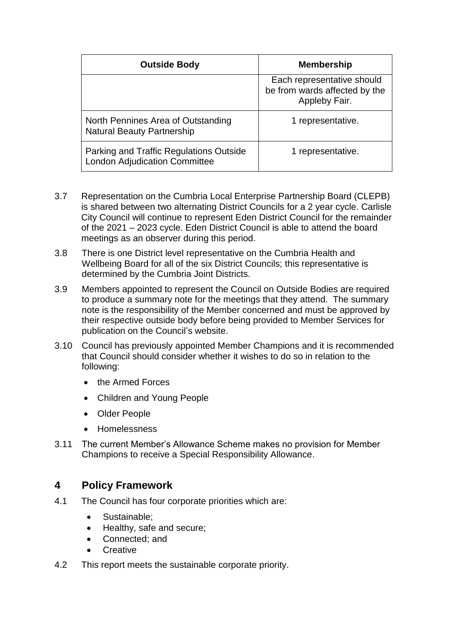| <b>Outside Body</b>                                                             | <b>Membership</b>                                                            |
|---------------------------------------------------------------------------------|------------------------------------------------------------------------------|
|                                                                                 | Each representative should<br>be from wards affected by the<br>Appleby Fair. |
| North Pennines Area of Outstanding<br><b>Natural Beauty Partnership</b>         | 1 representative.                                                            |
| Parking and Traffic Regulations Outside<br><b>London Adjudication Committee</b> | 1 representative.                                                            |

- 3.7 Representation on the Cumbria Local Enterprise Partnership Board (CLEPB) is shared between two alternating District Councils for a 2 year cycle. Carlisle City Council will continue to represent Eden District Council for the remainder of the 2021 – 2023 cycle. Eden District Council is able to attend the board meetings as an observer during this period.
- 3.8 There is one District level representative on the Cumbria Health and Wellbeing Board for all of the six District Councils; this representative is determined by the Cumbria Joint Districts.
- 3.9 Members appointed to represent the Council on Outside Bodies are required to produce a summary note for the meetings that they attend. The summary note is the responsibility of the Member concerned and must be approved by their respective outside body before being provided to Member Services for publication on the Council's website.
- 3.10 Council has previously appointed Member Champions and it is recommended that Council should consider whether it wishes to do so in relation to the following:
	- the Armed Forces
	- Children and Young People
	- Older People
	- Homelessness
- 3.11 The current Member's Allowance Scheme makes no provision for Member Champions to receive a Special Responsibility Allowance.

# **4 Policy Framework**

- 4.1 The Council has four corporate priorities which are:
	- Sustainable;
	- Healthy, safe and secure;
	- Connected; and
	- **Creative**
- 4.2 This report meets the sustainable corporate priority.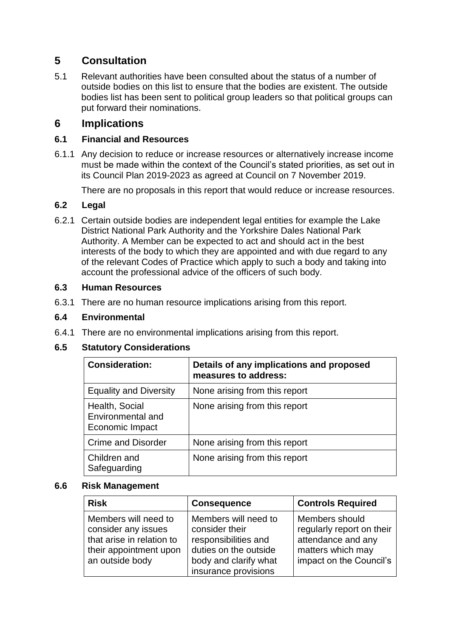# **5 Consultation**

5.1 Relevant authorities have been consulted about the status of a number of outside bodies on this list to ensure that the bodies are existent. The outside bodies list has been sent to political group leaders so that political groups can put forward their nominations.

## **6 Implications**

#### **6.1 Financial and Resources**

6.1.1 Any decision to reduce or increase resources or alternatively increase income must be made within the context of the Council's stated priorities, as set out in its Council Plan 2019-2023 as agreed at Council on 7 November 2019.

There are no proposals in this report that would reduce or increase resources.

#### **6.2 Legal**

6.2.1 Certain outside bodies are independent legal entities for example the Lake District National Park Authority and the Yorkshire Dales National Park Authority. A Member can be expected to act and should act in the best interests of the body to which they are appointed and with due regard to any of the relevant Codes of Practice which apply to such a body and taking into account the professional advice of the officers of such body.

#### **6.3 Human Resources**

6.3.1 There are no human resource implications arising from this report.

#### **6.4 Environmental**

6.4.1 There are no environmental implications arising from this report.

#### **6.5 Statutory Considerations**

| <b>Consideration:</b>                                  | Details of any implications and proposed<br>measures to address: |
|--------------------------------------------------------|------------------------------------------------------------------|
| <b>Equality and Diversity</b>                          | None arising from this report                                    |
| Health, Social<br>Environmental and<br>Economic Impact | None arising from this report                                    |
| <b>Crime and Disorder</b>                              | None arising from this report                                    |
| Children and<br>Safeguarding                           | None arising from this report                                    |

#### **6.6 Risk Management**

| <b>Risk</b>                                                                                                           | <b>Consequence</b>                                                                                                                       | <b>Controls Required</b>                                                                                          |
|-----------------------------------------------------------------------------------------------------------------------|------------------------------------------------------------------------------------------------------------------------------------------|-------------------------------------------------------------------------------------------------------------------|
| Members will need to<br>consider any issues<br>that arise in relation to<br>their appointment upon<br>an outside body | Members will need to<br>consider their<br>responsibilities and<br>duties on the outside<br>body and clarify what<br>insurance provisions | Members should<br>regularly report on their<br>attendance and any<br>matters which may<br>impact on the Council's |